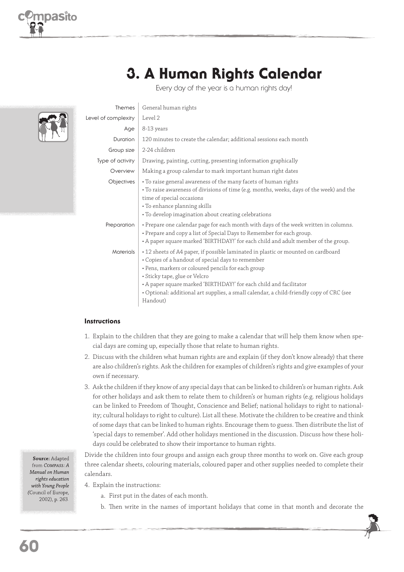

# 3. A Human Rights Calendar

Every day of the year is a human rights day!

|  | Themes              | General human rights                                                                                                                                                                                                                                                                                                                                                                            |
|--|---------------------|-------------------------------------------------------------------------------------------------------------------------------------------------------------------------------------------------------------------------------------------------------------------------------------------------------------------------------------------------------------------------------------------------|
|  | Level of complexity | Level 2                                                                                                                                                                                                                                                                                                                                                                                         |
|  | Age                 | 8-13 years                                                                                                                                                                                                                                                                                                                                                                                      |
|  | Duration            | 120 minutes to create the calendar; additional sessions each month                                                                                                                                                                                                                                                                                                                              |
|  | Group size          | 2-24 children                                                                                                                                                                                                                                                                                                                                                                                   |
|  | Type of activity    | Drawing, painting, cutting, presenting information graphically                                                                                                                                                                                                                                                                                                                                  |
|  | Overview            | Making a group calendar to mark important human right dates                                                                                                                                                                                                                                                                                                                                     |
|  | Objectives          | • To raise general awareness of the many facets of human rights<br>• To raise awareness of divisions of time (e.g. months, weeks, days of the week) and the<br>time of special occasions<br>• To enhance planning skills<br>• To develop imagination about creating celebrations                                                                                                                |
|  | Preparation         | • Prepare one calendar page for each month with days of the week written in columns.<br>• Prepare and copy a list of Special Days to Remember for each group.<br>• A paper square marked 'BIRTHDAY!' for each child and adult member of the group.                                                                                                                                              |
|  | <b>Materials</b>    | • 12 sheets of A4 paper, if possible laminated in plastic or mounted on cardboard<br>• Copies of a handout of special days to remember<br>· Pens, markers or coloured pencils for each group<br>· Sticky tape, glue or Velcro<br>• A paper square marked 'BIRTHDAY!' for each child and facilitator<br>• Optional: additional art supplies, a small calendar, a child-friendly copy of CRC (see |

Handout)

#### **Instructions**

- 1. Explain to the children that they are going to make a calendar that will help them know when special days are coming up, especially those that relate to human rights.
- 2. Discuss with the children what human rights are and explain (if they don't know already) that there are also children's rights. Ask the children for examples of children's rights and give examples of your own if necessary.
- 3. Ask the children if they know of any special days that can be linked to children's or human rights. Ask for other holidays and ask them to relate them to children's or human rights (e.g. religious holidays can be linked to Freedom of Thought, Conscience and Belief; national holidays to right to nationality; cultural holidays to right to culture). List all these. Motivate the children to be creative and think of some days that can be linked to human rights. Encourage them to guess. Then distribute the list of 'special days to remember'. Add other holidays mentioned in the discussion. Discuss how these holidays could be celebrated to show their importance to human rights.

Divide the children into four groups and assign each group three months to work on. Give each group three calendar sheets, colouring materials, coloured paper and other supplies needed to complete their calendars.

- 4. Explain the instructions:
	- a. First put in the dates of each month.
	- b. Then write in the names of important holidays that come in that month and decorate the

**Source:** Adapted from *COMPASS*: A *Manual on Human rights education with Young People (*Council of Europe, 2002), p. 263.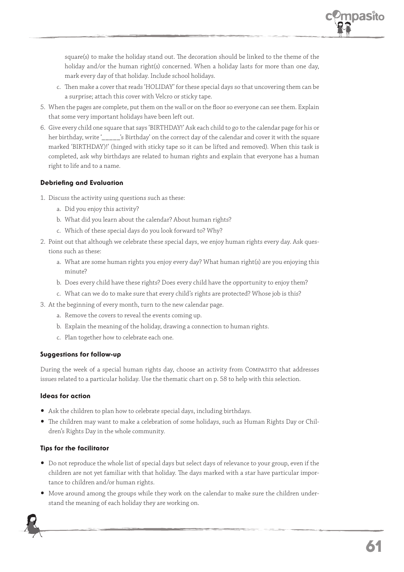

square(s) to make the holiday stand out. The decoration should be linked to the theme of the holiday and/or the human right(s) concerned. When a holiday lasts for more than one day, mark every day of that holiday. Include school holidays.

- c. Then make a cover that reads 'HOLIDAY' for these special days so that uncovering them can be a surprise; attach this cover with Velcro or sticky tape.
- 5. When the pages are complete, put them on the wall or on the floor so everyone can see them. Explain that some very important holidays have been left out.
- 6. Give every child one square that says 'BIRTHDAY!' Ask each child to go to the calendar page for his or her birthday, write '\_\_\_\_\_'s Birthday' on the correct day of the calendar and cover it with the square marked 'BIRTHDAY)!' (hinged with sticky tape so it can be lifted and removed). When this task is completed, ask why birthdays are related to human rights and explain that everyone has a human right to life and to a name.

#### **Debriefing and Evaluation**

- 1. Discuss the activity using questions such as these:
	- a. Did you enjoy this activity?
	- b. What did you learn about the calendar? About human rights?
	- c. Which of these special days do you look forward to? Why?
- 2. Point out that although we celebrate these special days, we enjoy human rights every day. Ask questions such as these:
	- a. What are some human rights you enjoy every day? What human right(s) are you enjoying this minute?
	- b. Does every child have these rights? Does every child have the opportunity to enjoy them?
	- c. What can we do to make sure that every child's rights are protected? Whose job is this?
- 3. At the beginning of every month, turn to the new calendar page.
	- a. Remove the covers to reveal the events coming up.
	- b. Explain the meaning of the holiday, drawing a connection to human rights.
	- c. Plan together how to celebrate each one.

#### Suggestions for follow-up

During the week of a special human rights day, choose an activity from COMPASITO that addresses issues related to a particular holiday. Use the thematic chart on p. 58 to help with this selection.

#### Ideas for action

- Ask the children to plan how to celebrate special days, including birthdays.
- The children may want to make a celebration of some holidays, such as Human Rights Day or Children's Rights Day in the whole community.

#### Tips for the facilitator

- Do not reproduce the whole list of special days but select days of relevance to your group, even if the children are not yet familiar with that holiday. The days marked with a star have particular importance to children and/or human rights.
- Move around among the groups while they work on the calendar to make sure the children understand the meaning of each holiday they are working on.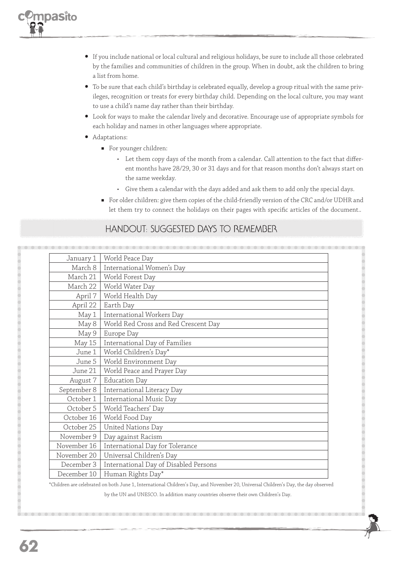- If you include national or local cultural and religious holidays, be sure to include all those celebrated by the families and communities of children in the group. When in doubt, ask the children to bring a list from home.
- To be sure that each child's birthday is celebrated equally, develop a group ritual with the same privileges, recognition or treats for every birthday child. Depending on the local culture, you may want to use a child's name day rather than their birthday.
- Look for ways to make the calendar lively and decorative. Encourage use of appropriate symbols for each holiday and names in other languages where appropriate.
- Adaptations:
	- For younger children:
		- Let them copy days of the month from a calendar. Call attention to the fact that different months have 28/29, 30 or 31 days and for that reason months don't always start on the same weekday.
		- Give them a calendar with the days added and ask them to add only the special days.
	- For older children: give them copies of the child-friendly version of the CRC and/or UDHR and let them try to connect the holidays on their pages with specific articles of the document..

### HANDOUT: SUGGESTED DAYS TO REMEMBER

| January 1   | World Peace Day                       |  |
|-------------|---------------------------------------|--|
| March 8     | International Women's Day             |  |
| March 21    | World Forest Day                      |  |
| March 22    | World Water Day                       |  |
| April 7     | World Health Day                      |  |
| April 22    | Earth Day                             |  |
| May 1       | International Workers Day             |  |
| May 8       | World Red Cross and Red Crescent Day  |  |
| May 9       | Europe Day                            |  |
| May 15      | International Day of Families         |  |
| June 1      | World Children's Day*                 |  |
| June 5      | World Environment Day                 |  |
| June 21     | World Peace and Prayer Day            |  |
| August 7    | <b>Education Day</b>                  |  |
| September 8 | International Literacy Day            |  |
| October 1   | International Music Day               |  |
| October 5   | World Teachers' Day                   |  |
| October 16  | World Food Day                        |  |
| October 25  | United Nations Day                    |  |
| November 9  | Day against Racism                    |  |
| November 16 | International Day for Tolerance       |  |
| November 20 | Universal Children's Day              |  |
| December 3  | International Day of Disabled Persons |  |
| December 10 | Human Rights Day*                     |  |

\*Children are celebrated on both June 1, International Children's Day, and November 20, Universal Children's Day, the day observed

by the UN and UNESCO. In addition many countries observe their own Children's Day.